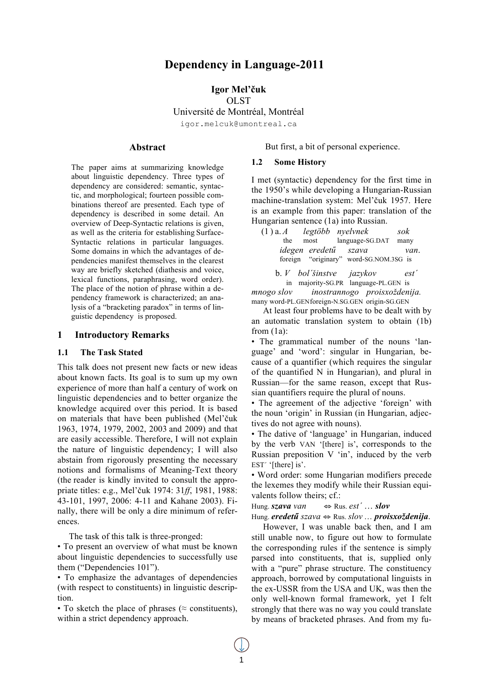# **Dependency in Language-2011**

## **Igor Mel'čuk OLST**

Université de Montréal, Montréal

igor.melcuk@umontreal.ca

#### **Abstract**

The paper aims at summarizing knowledge about linguistic dependency. Three types of dependency are considered: semantic, syntactic, and morphological; fourteen possible combinations thereof are presented. Each type of dependency is described in some detail. An overview of Deep-Syntactic relations is given, as well as the criteria for establishing Surface-Syntactic relations in particular languages. Some domains in which the advantages of dependencies manifest themselves in the clearest way are briefly sketched (diathesis and voice, lexical functions, paraphrasing, word order). The place of the notion of phrase within a dependency framework is characterized; an analysis of a "bracketing paradox" in terms of linguistic dependency is proposed.

## **1 Introductory Remarks**

#### **1.1 The Task Stated**

This talk does not present new facts or new ideas about known facts. Its goal is to sum up my own experience of more than half a century of work on linguistic dependencies and to better organize the knowledge acquired over this period. It is based on materials that have been published (Mel'čuk 1963, 1974, 1979, 2002, 2003 and 2009) and that are easily accessible. Therefore, I will not explain the nature of linguistic dependency; I will also abstain from rigorously presenting the necessary notions and formalisms of Meaning-Text theory (the reader is kindly invited to consult the appropriate titles: e.g., Mel'čuk 1974: 31*ff*, 1981, 1988: 43-101, 1997, 2006: 4-11 and Kahane 2003). Finally, there will be only a dire minimum of references.

The task of this talk is three-pronged:

• To present an overview of what must be known about linguistic dependencies to successfully use them ("Dependencies 101").

• To emphasize the advantages of dependencies (with respect to constituents) in linguistic description.

• To sketch the place of phrases ( $\approx$  constituents), within a strict dependency approach.

But first, a bit of personal experience.

#### **1.2 Some History**

I met (syntactic) dependency for the first time in the 1950's while developing a Hungarian-Russian machine-translation system: Mel'čuk 1957. Here is an example from this paper: translation of the Hungarian sentence (1a) into Russian.

(1 ) a. *A legtöbb nyelvnek sok* the most language-SG.DAT many *idegen eredetű szava van*. foreign "originary" word-SG.NOM.3SG is

b. *V bol´šinstve jazykov est´* in majority-SG.PR language-PL.GEN is *mnogo slov inostrannogo proisxoždenija.* many word-PL.GENforeign-N.SG.GEN origin-SG.GEN

At least four problems have to be dealt with by an automatic translation system to obtain (1b) from (1a):

• The grammatical number of the nouns 'language' and 'word': singular in Hungarian, because of a quantifier (which requires the singular of the quantified N in Hungarian), and plural in Russian—for the same reason, except that Russian quantifiers require the plural of nouns.

• The agreement of the adjective 'foreign' with the noun 'origin' in Russian (in Hungarian, adjectives do not agree with nouns).

• The dative of 'language' in Hungarian, induced by the verb VAN '[there] is', corresponds to the Russian preposition V 'in', induced by the verb EST<sup>'</sup> '[there] is'.

• Word order: some Hungarian modifiers precede the lexemes they modify while their Russian equivalents follow theirs; cf.:

Hung. *szava van* ⇔ Rus. *est´* … *slov*

Hung. *eredetű szava* ⇔ Rus. *slov* … *proisxoždenija*.

However, I was unable back then, and I am still unable now, to figure out how to formulate the corresponding rules if the sentence is simply parsed into constituents, that is, supplied only with a "pure" phrase structure. The constituency approach, borrowed by computational linguists in the ex-USSR from the USA and UK, was then the only well-known formal framework, yet I felt strongly that there was no way you could translate by means of bracketed phrases. And from my fu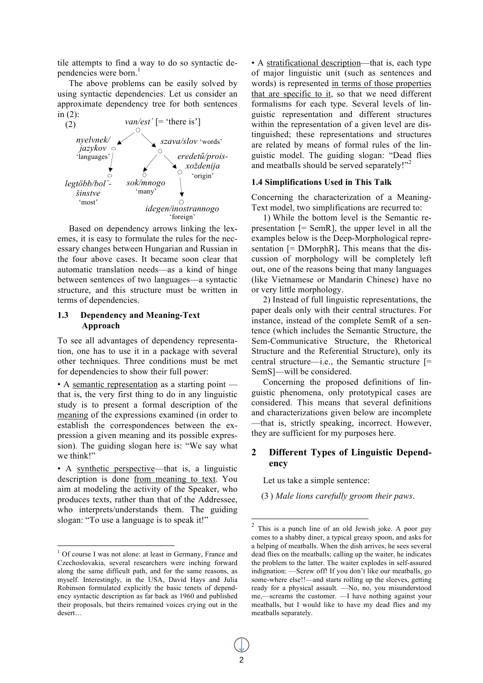tile attempts to find a way to do so syntactic dependencies were born.<sup>1</sup>

The above problems can be easily solved by using syntactic dependencies. Let us consider an approximate dependency tree for both sentences in (2):



emes, it is easy to formulate the rules for the nec-Based on dependency arrows linking the lexessary changes between Hungarian and Russian in the four above cases. It became soon clear that automatic translation needs—as a kind of hinge between sentences of two languages—a syntactic structure, and this structure must be written in terms of dependencies.

### **1.3 Dependency and Meaning-Text Approach**

To see all advantages of dependency representation, one has to use it in a package with several other techniques. Three conditions must be met for dependencies to show their full power:

• A semantic representation as a starting point that is, the very first thing to do in any linguistic study is to present a formal description of the meaning of the expressions examined (in order to establish the correspondences between the expression a given meaning and its possible expression). The guiding slogan here is: "We say what we think!"

• A synthetic perspective—that is, a linguistic description is done from meaning to text. You aim at modeling the activity of the Speaker, who produces texts, rather than that of the Addressee, who interprets/understands them. The guiding slogan: "To use a language is to speak it!"

• A stratificational description—that is, each type of major linguistic unit (such as sentences and words) is represented in terms of those properties that are specific to it, so that we need different formalisms for each type. Several levels of linguistic representation and different structures within the representation of a given level are distinguished; these representations and structures are related by means of formal rules of the linguistic model. The guiding slogan: "Dead flies and meatballs should be served separately!"<sup>2</sup>

#### **1.4 Simplifications Used in This Talk**

Concerning the characterization of a Meaning-Text model, two simplifications are recurred to:

1) While the bottom level is the Semantic representation  $[=$  SemR], the upper level in all the examples below is the Deep-Morphological representation [= DMorphR]**.** This means that the discussion of morphology will be completely left out, one of the reasons being that many languages (like Vietnamese or Mandarin Chinese) have no or very little morphology.

2) Instead of full linguistic representations, the paper deals only with their central structures. For instance, instead of the complete SemR of a sentence (which includes the Semantic Structure, the Sem-Communicative Structure, the Rhetorical Structure and the Referential Structure), only its central structure—i.e., the Semantic structure [= SemS]—will be considered.

Concerning the proposed definitions of linguistic phenomena, only prototypical cases are considered. This means that several definitions and characterizations given below are incomplete —that is, strictly speaking, incorrect. However, they are sufficient for my purposes here.

# **2 Different Types of Linguistic Dependency**

Let us take a simple sentence:

(3 ) *Male lions carefully groom their paws*.

 $\frac{1}{1}$ <sup>1</sup> Of course I was not alone: at least in Germany, France and Czechoslovakia, several researchers were inching forward along the same difficult path, and for the same reasons, as myself. Interestingly, in the USA, David Hays and Julia Robinson formulated explicitly the basic tenets of dependency syntactic description as far back as 1960 and published their proposals, but theirs remained voices crying out in the desert…

This is a punch line of an old Jewish joke. A poor guy comes to a shabby diner, a typical greasy spoon, and asks for a helping of meatballs. When the dish arrives, he sees several dead flies on the meatballs; calling up the waiter, he indicates the problem to the latter. The waiter explodes in self-assured indignation: —Screw off! If you don't like our meatballs, go some-where else!!—and starts rolling up the sleeves, getting ready for a physical assault. —No, no, you misunderstood me,—screams the customer. —I have nothing against your meatballs, but I would like to have my dead flies and my meatballs separately.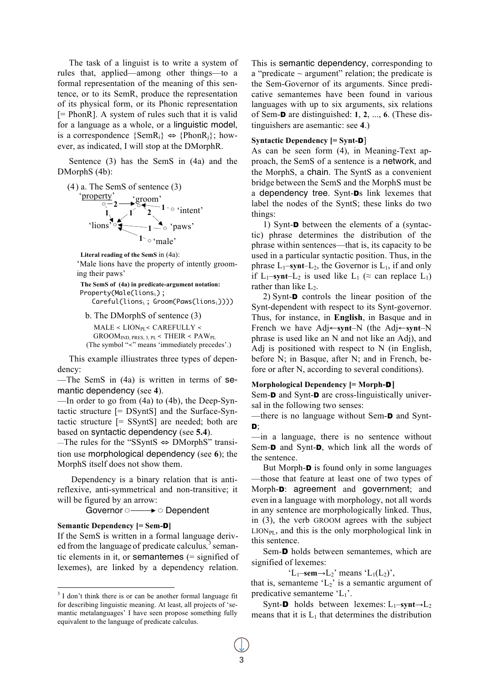The task of a linguist is to write a system of rules that, applied—among other things—to a formal representation of the meaning of this sentence, or to its SemR, produce the representation of its physical form, or its Phonic representation  $[= PhonR]$ . A system of rules such that it is valid for a language as a whole, or a linguistic model, is a correspondence  ${SemR_i} \Leftrightarrow {PhonR_i}$ ; however, as indicated, I will stop at the DMorphR.

Sentence (3) has the SemS in (4a) and the DMorphS (4b):





**2 Literal reading of the SemS** in (4a):

'Male lions have the property of intently grooming their paws'

**The SemS of (4a) in predicate-argument notation:** Property(Male(lions<sub>i</sub>); Careful(lions<sub>i</sub>; Groom(Paws(lions<sub>i</sub>))))

b. The DMorphS of sentence (3)  $MALE < LION<sub>PI</sub> < CAREFULLY <$  $GRoom_{IND. PRES. 3. PL}$  < THEIR <  $PAW_{PL}$ (The symbol "≺" means 'immediately precedes'.)

This example illiustrates three types of dependency:

—The SemS in (4a) is written in terms of semantic dependency (see **4**).

—In order to go from (4a) to (4b), the Deep-Syntactic structure [= DSyntS] and the Surface-Syntactic structure [= SSyntS] are needed; both are based on syntactic dependency (see **5.4**).

—The rules for the "SSyntS ⇔ DMorphS" transition use morphological dependency (see **6**); the MorphS itself does not show them.

Dependency is a binary relation that is antireflexive, anti-symmetrical and non-transitive; it will be figured by an arrow:

Governor  $\circ \longrightarrow \circ$  Dependent

#### **Semantic Dependency [= Sem-**D**]**

If the SemS is written in a formal language derived from the language of predicate calculus*,* <sup>3</sup> semantic elements in it, or semantemes (= signified of lexemes), are linked by a dependency relation.

This is semantic dependency, corresponding to a "predicate  $\sim$  argument" relation; the predicate is the Sem-Governor of its arguments. Since predicative semantemes have been found in various languages with up to six arguments, six relations of Sem-D are distinguished: **1**, **2**, ..., **6**. (These distinguishers are asemantic: see **4**.)

#### **Syntactic Dependency [= Synt-**D]

As can be seen form (4), in Meaning-Text approach, the SemS of a sentence is a network, and the MorphS, a chain. The SyntS as a convenient bridge between the SemS and the MorphS must be a dependency tree. Synt-Ds link lexemes that label the nodes of the SyntS; these links do two things:

1) Synt-D between the elements of a (syntactic) phrase determines the distribution of the phrase within sentences—that is, its capacity to be used in a particular syntactic position. Thus, in the phrase  $L_1$ –**synt**– $L_2$ , the Governor is  $L_1$ , if and only if  $L_1$ –**synt**– $L_2$  is used like  $L_1$  ( $\approx$  can replace  $L_1$ ) rather than like  $L_2$ .

2) Synt-D controls the linear position of the Synt-dependent with respect to its Synt-governor. Thus, for instance, in **English**, in Basque and in French we have Adj←**synt**–N (the Adj←**synt**–N phrase is used like an N and not like an Adj), and Adj is positioned with respect to N (in English, before N; in Basque, after N; and in French, before or after N, according to several conditions).

#### **Morphological Dependency [= Morph-**D**]**

Sem-**D** and Synt-**D** are cross-linguistically universal in the following two senses:

—there is no language without Sem-D and Synt-D;

—in a language, there is no sentence without Sem-D and Synt-D, which link all the words of the sentence.

But Morph-**D** is found only in some languages —those that feature at least one of two types of Morph-D: agreement and government; and even in a language with morphology, not all words in any sentence are morphologically linked. Thus, in (3), the verb GROOM agrees with the subject  $LION_{PL}$ , and this is the only morphological link in this sentence.

Sem-D holds between semantemes, which are signified of lexemes:

 $'L_1$ –**sem** $\rightarrow$ L<sub>2</sub>' means  $'L_1(L_2)$ ',

that is, semanteme ' $L_2$ ' is a semantic argument of predicative semanteme  $'L_1$ .

Synt-**D** holds between lexemes:  $L_1$ –synt $\rightarrow$  $L_2$ means that it is  $L_1$  that determines the distribution

 <sup>3</sup>  $3$  I don't think there is or can be another formal language fit for describing linguistic meaning. At least, all projects of 'semantic metalanguages' I have seen propose something fully equivalent to the language of predicate calculus.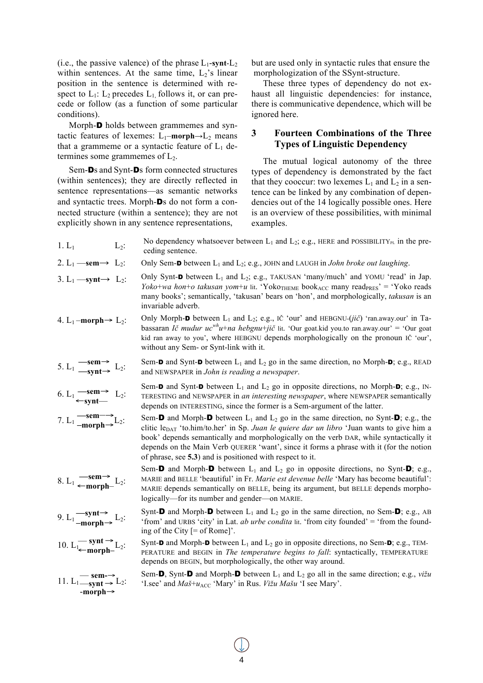(i.e., the passive valence) of the phrase  $L_1$ -**synt**- $L_2$ within sentences. At the same time,  $L_2$ 's linear position in the sentence is determined with respect to  $L_1$ :  $L_2$  precedes  $L_1$  follows it, or can precede or follow (as a function of some particular conditions).

Morph-D holds between grammemes and syntactic features of lexemes:  $L_1$ –**morph** $\rightarrow$  $L_2$  means that a grammeme or a syntactic feature of  $L_1$  determines some grammemes of  $L<sub>2</sub>$ .

Sem-Ds and Synt-Ds form connected structures (within sentences); they are directly reflected in sentence representations—as semantic networks and syntactic trees. Morph-Ds do not form a connected structure (within a sentence); they are not explicitly shown in any sentence representations,

but are used only in syntactic rules that ensure the morphologization of the SSynt-structure.

These three types of dependency do not exhaust all linguistic dependencies: for instance, there is communicative dependence, which will be ignored here.

# **3 Fourteen Combinations of the Three Types of Linguistic Dependency**

The mutual logical autonomy of the three types of dependency is demonstrated by the fact that they cooccur: two lexemes  $L_1$  and  $L_2$  in a sentence can be linked by any combination of dependencies out of the 14 logically possible ones. Here is an overview of these possibilities, with minimal examples.

- **—sem**→ 5. L<sub>1</sub>  $\frac{\longrightarrow}{\longrightarrow}$  L<sub>2</sub>: **—sem**→ ←**synt**— 1. L<sub>1</sub> No dependency whatsoever between L<sub>1</sub> and L<sub>2</sub>; e.g., HERE and POSSIBILITY<sub>PL</sub> in the preceding sentence. 2.  $L_1$  —**sem**  $\rightarrow$   $L_2$ : Only Sem-**D** between  $L_1$  and  $L_2$ ; e.g., JOHN and LAUGH in *John broke out laughing*. 3. L<sub>1</sub> —**synt**  $\rightarrow$  L<sub>2</sub>: Only Synt-**D** between L<sub>1</sub> and L<sub>2</sub>; e.g., TAKUSAN 'many/much' and YOMU 'read' in Jap. *Yoko*+*wa hon*+*o takusan yom*+*u* lit. 'Yoko<sub>THEME</sub> book<sub>ACC</sub> many read<sub>PRES</sub>' = 'Yoko reads many books'; semantically, 'takusan' bears on 'hon', and morphologically, *takusan* is an invariable adverb. 4. L<sub>1</sub> –**morph**  $\rightarrow$  L<sub>2</sub>: Only Morph-**D** between L<sub>1</sub> and L<sub>2</sub>; e.g., IČ 'our' and HEBGNU-(*jič*) 'ran.away.our' in Tabassaran *Ič mudur ucwhu*+*na hebgnu*+*jič* lit. 'Our goat.kid you.to ran.away.our' = 'Our goat kid ran away to you', where HEBGNU depends morphologically on the pronoun IČ 'our', without any Sem- or Synt-link with it. Sem-**D** and Synt-**D** between  $L_1$  and  $L_2$  go in the same direction, no Morph-**D**; e.g., READ and NEWSPAPER in *John is reading a newspaper*. 6. L<sub>1</sub>  $\longrightarrow$  L<sub>2</sub>: Sem-**D** and Synt-**D** between  $L_1$  and  $L_2$  go in opposite directions, no Morph-**D**; e.g., IN-TERESTING and NEWSPAPER in *an interesting newspaper*, where NEWSPAPER semantically depends on INTERESTING, since the former is a Sem-argument of the latter.
	- Sem-D and Morph-D between  $L_1$  and  $L_2$  go in the same direction, no Synt-D; e.g., the clitic leDAT 'to.him/to.her' in Sp. *Juan le quiere dar un libro* 'Juan wants to give him a book' depends semantically and morphologically on the verb DAR, while syntactically it depends on the Main Verb QUERER 'want', since it forms a phrase with it (for the notion of phrase, see **5.3**) and is positioned with respect to it.
	- Sem-**D** and Morph-**D** between  $L_1$  and  $L_2$  go in opposite directions, no Synt-**D**; e.g., MARIE and BELLE 'beautiful' in Fr. *Marie est devenue belle* 'Mary has become beautiful': MARIE depends semantically on BELLE, being its argument, but BELLE depends morphologically—for its number and gender—on MARIE.

Synt-**D** and Morph-**D** between  $L_1$  and  $L_2$  go in the same direction, no Sem-**D**; e.g., AB 'from' and URBS 'city' in Lat. *ab urbe condita* lit. 'from city founded' = 'from the founding of the City [= of Rome]'.

Synt-**D** and Morph-**D** between  $L_1$  and  $L_2$  go in opposite directions, no Sem-**D**; e.g., TEM-PERATURE and BEGIN in *The temperature begins to fall*: syntactically, TEMPERATURE depends on BEGIN, but morphologically, the other way around.

Sem-**D**, Synt-**D** and Morph-**D** between  $L_1$  and  $L_2$  go all in the same direction; e.g., *vižu* 'I.see' and  $Ma\check{s}$ + $u_{\text{ACC}}$  'Mary' in Rus. *Vižu Mašu* 'I see Mary'.

**—sem**→ 8. L<sub>1</sub> ← morph– L<sub>2</sub>:

**—sem**–→ **–morph**→

- **—synt**→ 9.  $L_1 \frac{\longrightarrow_{\text{sym}}}{-\text{morph}} L_2$ :
- $\rightharpoonup$  synt  $\rightarrow$ ←**morph–**
- **sem-**→ 11. L<sub>1</sub> $\frac{\text{semi} \rightarrow \text{L}_2:}{-\text{morph} \rightarrow}$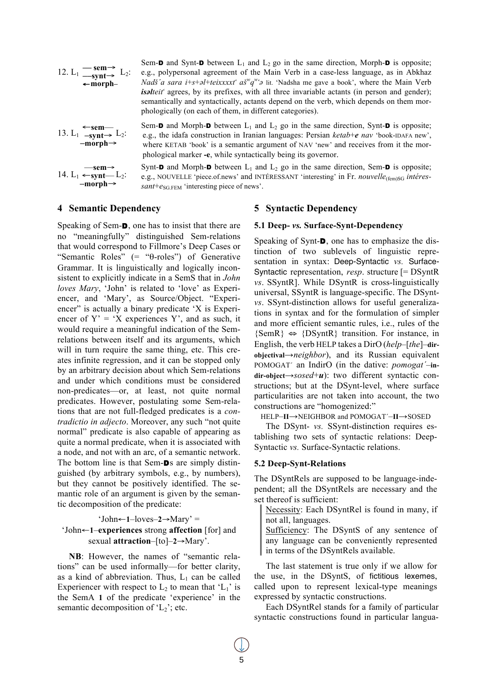

Sem-**D** and Synt-**D** between  $L_1$  and  $L_2$  go in the same direction, Morph-**D** is opposite; e.g., polypersonal agreement of the Main Verb in a case-less language, as in Abkhaz *Nadš*<sup>'</sup>*a sara i*+*s*+ $\partial$ *l*+*teixxxxt*<sup>*'*</sup> *aš*<sup>*w*</sup> $\partial$ <sup>*w*</sup><sup>*'*</sup> $\partial$  lit. 'Nadsha me gave a book', where the Main Verb *isalteit* agrees, by its prefixes, with all three invariable actants (in person and gender); semantically and syntactically, actants depend on the verb, which depends on them morphologically (on each of them, in different categories).

13. L<sub>1</sub>  $\leftarrow$ sem—<br>-synt→ L<sub>2</sub>:<br>-morph→

 —**sem**→ 14. L<sub>1</sub>  $\leftarrow$ synt—L<sub>2</sub>:<br>–morph→ Sem-D and Morph-D between  $L_1$  and  $L_2$  go in the same direction, Synt-D is opposite; e.g., the idafa construction in Iranian languages: Persian *ketab*+*e nav* 'book-IDAFA new', where KETAB 'book' is a semantic argument of NAV 'new' and receives from it the morphological marker **-e**, while syntactically being its governor.

Synt-**D** and Morph-**D** between  $L_1$  and  $L_2$  go in the same direction, Sem-**D** is opposite; e.g., NOUVELLE 'piece.of.news' and INTÉRESSANT 'interesting' in Fr. *nouvelle*<sub>(fem)SG</sub> intéres $sant+e_{SG, FEM}$  'interesting piece of news'.

# **4 Semantic Dependency**

Speaking of Sem-D, one has to insist that there are no "meaningfully" distinguished Sem-relations that would correspond to Fillmore's Deep Cases or "Semantic Roles" (= "θ-roles") of Generative Grammar. It is linguistically and logically inconsistent to explicitly indicate in a SemS that in *John loves Mary*, 'John' is related to 'love' as Experiencer, and 'Mary', as Source/Object. "Experiencer" is actually a binary predicate 'X is Experiencer of  $Y' = 'X$  experiences Y', and as such, it would require a meaningful indication of the Semrelations between itself and its arguments, which will in turn require the same thing, etc. This creates infinite regression, and it can be stopped only by an arbitrary decision about which Sem-relations and under which conditions must be considered non-predicates—or, at least, not quite normal predicates. However, postulating some Sem-relations that are not full-fledged predicates is a *contradictio in adjecto*. Moreover, any such "not quite normal" predicate is also capable of appearing as quite a normal predicate, when it is associated with a node, and not with an arc, of a semantic network. The bottom line is that Sem-Ds are simply distinguished (by arbitrary symbols, e.g., by numbers), but they cannot be positively identified. The semantic role of an argument is given by the semantic decomposition of the predicate:

# 'John←**1**–loves–**2**→Mary' = 'John←**1**–**experiences** strong **affection** [for] and sexual **attraction**–[to]–**2**→Mary'.

**NB**: However, the names of "semantic relations" can be used informally—for better clarity, as a kind of abbreviation. Thus,  $L_1$  can be called Experiencer with respect to  $L_2$  to mean that ' $L_1$ ' is the SemA **1** of the predicate 'experience' in the semantic decomposition of  $'L_2$ ; etc.

## **5 Syntactic Dependency**

#### **5.1 Deep-** *vs.* **Surface-Synt-Dependency**

Speaking of Synt-D, one has to emphasize the distinction of two sublevels of linguistic representation in syntax: Deep-Syntactic *vs.* Surface-Syntactic representation, *resp*. structure [= DSyntR *vs*. SSyntR]. While DSyntR is cross-linguistically universal, SSyntR is language-specific. The DSynt*vs*. SSynt-distinction allows for useful generalizations in syntax and for the formulation of simpler and more efficient semantic rules, i.e., rules of the  ${SemR} \Leftrightarrow {DSyntR}$  transition. For instance, in English, the verb HELP takes a DirO (*help–*[*the*]–**dirobjectival**→*neighbor*), and its Russian equivalent POMOGAT´ an IndirO (in the dative: *pomogat´*–**indir-object**→*sosed*+*u*): two different syntactic constructions; but at the DSynt-level, where surface particularities are not taken into account, the two constructions are "homogenized:"

HELP–**II**→NEIGHBOR and POMOGAT´–**II**→SOSED

The DSynt- *vs.* SSynt-distinction requires establishing two sets of syntactic relations: Deep-Syntactic *vs.* Surface-Syntactic relations.

#### **5.2 Deep-Synt-Relations**

The DSyntRels are supposed to be language-independent; all the DSyntRels are necessary and the set thereof is sufficient:

Necessity: Each DSyntRel is found in many, if not all, languages.

Sufficiency: The DSyntS of any sentence of any language can be conveniently represented in terms of the DSyntRels available.

The last statement is true only if we allow for the use, in the DSyntS, of fictitious lexemes, called upon to represent lexical-type meanings expressed by syntactic constructions.

Each DSyntRel stands for a family of particular syntactic constructions found in particular langua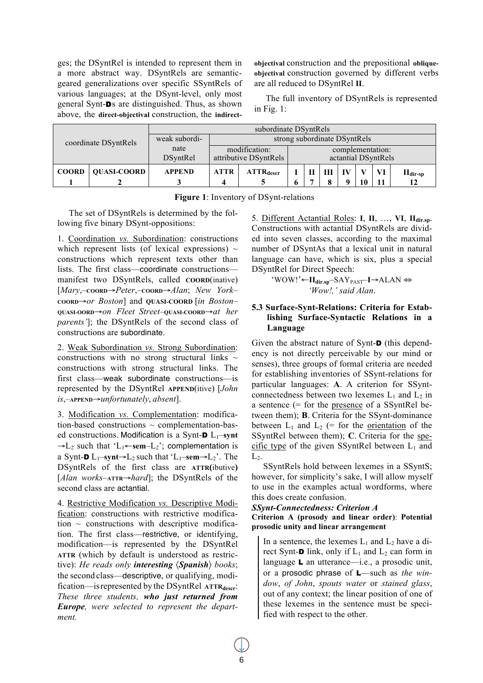ges; the DSyntRel is intended to represent them in a more abstract way. DSyntRels are semanticgeared generalizations over specific SSyntRels of various languages; at the DSynt-level, only most general Synt-Ds are distinguished. Thus, as shown above, the **direct-objectival** construction, the **indirect-** **objectival** construction and the prepositional **obliqueobjectival** construction governed by different verbs are all reduced to DSyntRel **II**.

The full inventory of DSyntRels is represented in Fig. 1:

| coordinate DSyntRels |                    | subordinate DSyntRels |                                        |                         |                                         |  |  |  |  |          |                                    |
|----------------------|--------------------|-----------------------|----------------------------------------|-------------------------|-----------------------------------------|--|--|--|--|----------|------------------------------------|
|                      |                    | weak subordi-         | strong subordinate DSyntRels           |                         |                                         |  |  |  |  |          |                                    |
|                      |                    | nate<br>DSyntRel      | modification:<br>attributive DSyntRels |                         | complementation:<br>actantial DSyntRels |  |  |  |  |          |                                    |
| <b>COORD</b>         | <b>OUASI-COORD</b> | <b>APPEND</b>         | <b>ATTR</b>                            | $ATTR$ <sub>descr</sub> |                                         |  |  |  |  | VI<br>11 | $\mathbf{H}_{\text{dir-sp}}$<br>12 |

|  |  | Figure 1: Inventory of DSynt-relations |  |  |
|--|--|----------------------------------------|--|--|
|--|--|----------------------------------------|--|--|

The set of DSyntRels is determined by the following five binary DSynt-oppositions:

1. Coordination *vs.* Subordination: constructions which represent lists (of lexical expressions)  $\sim$ constructions which represent texts other than lists. The first class—coordinate constructions manifest two DSyntRels, called **COORD**(inative) [*Mary*,–**COORD**→*Peter*,–**COORD**→*Alan*; *New York*– **COORD**→*or Boston*] and **QUASI-COORD** [*in Boston*– **QUASI-OORD**→*on Fleet Street*–**QUASI-COORD**→*at her parents'*]; the DSyntRels of the second class of constructions are subordinate.

2. Weak Subordination *vs.* Strong Subordination: constructions with no strong structural links  $\sim$ constructions with strong structural links. The first class—weak subordinate constructions—is represented by the DSyntRel **APPEND**(itive) [*John is*,–**APPEND**→*unfortunately*, *absent*].

3. Modification *vs.* Complementation: modification-based constructions  $\sim$  complementation-based constructions. Modification is a Synt- $D L_1$ –synt  $\rightarrow$ L<sub>2</sub> such that 'L<sub>1</sub>←sem–L<sub>2</sub>'; complementation is a Synt- $\mathbf{D} L_1$ –synt $\rightarrow L_2$  such that 'L<sub>1</sub>–sem $\rightarrow L_2$ '. The DSyntRels of the first class are **ATTR(**ibutive**)**  [*Alan works*–**ATTR**→*hard*]; the DSyntRels of the second class are actantial.

4. Restrictive Modification *vs.* Descriptive Modification: constructions with restrictive modification  $\sim$  constructions with descriptive modification. The first class—restrictive, or identifying, modification—is represented by the DSyntRel **ATTR** (which by default is understood as restrictive): *He reads only interesting* 〈*Spanish*〉 *books*; the second class—descriptive, or qualifying, modification—is represented by the DSyntRel ATTR<sub>descr</sub>: *These three students, who just returned from Europe, were selected to represent the department.*

5. Different Actantial Roles: **I**, **II**, …, **VI**, **IIdir.sp**. Constructions with actantial DSyntRels are divided into seven classes, according to the maximal number of DSyntAs that a lexical unit in natural language can have, which is six, plus a special DSyntRel for Direct Speech:

> 'WOW!'←**IIdir.sp**–SAYPAST–**I**→ALAN ⇔ *'Wow!,' said Alan*.

# **5.3 Surface-Synt-Relations: Criteria for Establishing Surface-Syntactic Relations in a Language**

Given the abstract nature of Synt-D (this dependency is not directly perceivable by our mind or senses), three groups of formal criteria are needed for establishing inventories of SSynt-relations for particular languages: **A**. A criterion for SSyntconnectedness between two lexemes  $L_1$  and  $L_2$  in a sentence (= for the presence of a SSyntRel between them); **B**. Criteria for the SSynt-dominance between  $L_1$  and  $L_2$  (= for the orientation of the SSyntRel between them); **C**. Criteria for the specific type of the given SSyntRel between  $L_1$  and  $L_2$ .

SSyntRels hold between lexemes in a SSyntS; however, for simplicity's sake, I will allow myself to use in the examples actual wordforms, where this does create confusion.

#### *SSynt-Connectedness: Criterion A*

#### **Criterion A (prosody and linear order)**: **Potential prosodic unity and linear arrangement**

In a sentence, the lexemes  $L_1$  and  $L_2$  have a direct Synt-**D** link, only if  $L_1$  and  $L_2$  can form in language L an utterance—i.e., a prosodic unit, or a prosodic phrase of L—such as *the window*, *of John*, *spouts water* or *stained glass*, out of any context; the linear position of one of these lexemes in the sentence must be specified with respect to the other.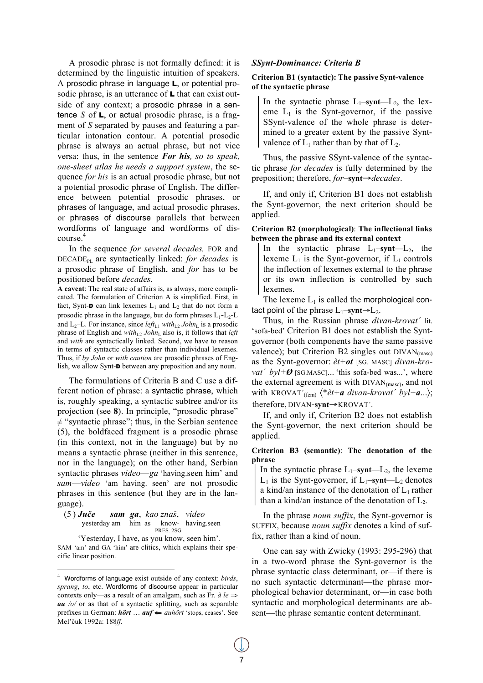A prosodic phrase is not formally defined: it is determined by the linguistic intuition of speakers. A prosodic phrase in language L, or potential prosodic phrase, is an utterance of **L** that can exist outside of any context; a prosodic phrase in a sentence *S* of L, or actual prosodic phrase, is a fragment of *S* separated by pauses and featuring a particular intonation contour. A potential prosodic phrase is always an actual phrase, but not vice versa: thus, in the sentence *For his, so to speak, one-sheet atlas he needs a support system*, the sequence *for his* is an actual prosodic phrase, but not a potential prosodic phrase of English. The difference between potential prosodic phrases, or phrases of language, and actual prosodic phrases, or phrases of discourse parallels that between wordforms of language and wordforms of discourse. 4

In the sequence *for several decades,* FOR and DECADEPL are syntactically linked: *for decades* is a prosodic phrase of English, and *for* has to be positioned before *decades*.

**A caveat**: The real state of affairs is, as always, more complicated. The formulation of Criterion A is simplified. First, in fact, Synt- $\mathbf D$  can link lexemes  $\mathbf L_1$  and  $\mathbf L_2$  that do not form a prosodic phrase in the language, but do form phrases  $L_1$ - $L_2$ - $L$ and  $L_2$ –L. For instance, since *left*<sub>L1</sub> with<sub>L2</sub> John<sub>L</sub> is a prosodic phrase of English and  $with_{L2} John_L$  also is, it follows that *left* and *with* are syntactically linked. Second, we have to reason in terms of syntactic classes rather than individual lexemes. Thus, if *by John* or *with caution* are prosodic phrases of English, we allow Synt-**D** between any preposition and any noun.

The formulations of Criteria B and C use a different notion of phrase: a syntactic phrase, which is, roughly speaking, a syntactic subtree and/or its projection (see **8**). In principle, "prosodic phrase"  $\neq$  "syntactic phrase"; thus, in the Serbian sentence (5), the boldfaced fragment is a prosodic phrase (in this context, not in the language) but by no means a syntactic phrase (neither in this sentence, nor in the language); on the other hand, Serbian syntactic phrases *video*—*ga* 'having.seen him' and *sam*—*video* 'am having. seen' are not prosodic phrases in this sentence (but they are in the language).

(5 ) *Juče sam ga*, *kao znaš*, *video* yesterday am him as know- having.seen PRES. 2SG

'Yesterday, I have, as you know, seen him'. SAM 'am' and GA 'him' are clitics, which explains their specific linear position.

## *SSynt-Dominance: Criteria B*

#### **Criterion B1 (syntactic): The passive Synt-valence of the syntactic phrase**

In the syntactic phrase  $L_1$ –**synt**– $L_2$ , the lexeme  $L_1$  is the Synt-governor, if the passive SSynt-valence of the whole phrase is determined to a greater extent by the passive Syntvalence of  $L_1$  rather than by that of  $L_2$ .

Thus, the passive SSynt-valence of the syntactic phrase *for decades* is fully determined by the preposition; therefore, *for*–**synt**→*decades*.

If, and only if, Criterion B1 does not establish the Synt-governor, the next criterion should be applied.

#### **Criterion B2 (morphological)**: **The inflectional links between the phrase and its external context**

In the syntactic phrase  $L_1$ –**synt**– $L_2$ , the lexeme  $L_1$  is the Synt-governor, if  $L_1$  controls the inflection of lexemes external to the phrase or its own inflection is controlled by such lexemes.

The lexeme  $L_1$  is called the morphological contact point of the phrase  $L_1$ –**synt** $\rightarrow$  $L_2$ .

Thus, in the Russian phrase *divan-krovat´* lit. 'sofa-bed' Criterion B1 does not establish the Syntgovernor (both components have the same passive valence); but Criterion B2 singles out  $DIVAN_{(masc)}$ as the Synt-governor: *èt+ot* [SG. MASC] *divan-krovat´ byl+Ø* [SG.MASC]... 'this sofa-bed was...', where the external agreement is with  $DIVAN_{(masc)}$ , and not with KROVAT<sup>'</sup>(fem)</sub>  $\langle * \hat{e}t + a \space divan-krovat' \space by l+a... \rangle;$ therefore, DIVAN-**synt**→KROVAT´.

If, and only if, Criterion B2 does not establish the Synt-governor, the next criterion should be applied.

#### **Criterion B3 (semantic)**: **The denotation of the phrase**

In the syntactic phrase  $L_1$ –**synt**— $L_2$ , the lexeme  $L_1$  is the Synt-governor, if  $L_1$ –synt— $L_2$  denotes a kind/an instance of the denotation of  $L_1$  rather than a kind/an instance of the denotation of L**2**.

In the phrase *noun suffix*, the Synt-governor is SUFFIX, because *noun suffix* denotes a kind of suffix, rather than a kind of noun.

One can say with Zwicky (1993: 295-296) that in a two-word phrase the Synt-governor is the phrase syntactic class determinant, or—if there is no such syntactic determinant—the phrase morphological behavior determinant, or—in case both syntactic and morphological determinants are absent—the phrase semantic content determinant.

 $\frac{1}{4}$  Wordforms of language exist outside of any context: *birds*, *sprang*, *to*, etc. Wordforms of discourse appear in particular contexts only—as a result of an amalgam, such as Fr. *à le* ⇒ *au /o/* or as that of a syntactic splitting, such as separable prefixes in German: *hört* … *auf* ⇐ *auhört* 'stops, ceases'. See Mel'čuk 1992a: 188*ff.*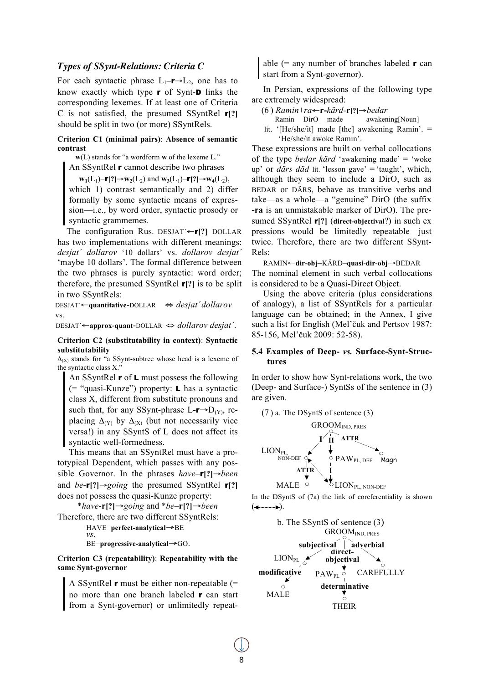## *Types of SSynt-Relations: Criteria C*

For each syntactic phrase  $L_1$ –**r** $\rightarrow$  $L_2$ , one has to know exactly which type r of Synt-D links the corresponding lexemes. If at least one of Criteria C is not satisfied, the presumed SSyntRel r**[?]** should be split in two (or more) SSyntRels.

#### **Criterion C1 (minimal pairs)**: **Absence of semantic contrast**

**w**(L) stands for "a wordform **w** of the lexeme L." An SSyntRel r cannot describe two phrases

**w**<sub>1</sub>(L<sub>1</sub>)–**r**[?]→**w**<sub>2</sub>(L<sub>2</sub>) and **w**<sub>3</sub>(L<sub>1</sub>)–**r**[?]→**w**<sub>4</sub>(L<sub>2</sub>),

which 1) contrast semantically and 2) differ formally by some syntactic means of expression—i.e., by word order, syntactic prosody or syntactic grammemes.

The configuration Rus. DESJAT<sup>'</sup>←**r**[?]–DOLLAR has two implementations with different meanings: *desjat´ dollarov* '10 dollars' vs. *dollarov desjat´* 'maybe 10 dollars'. The formal difference between the two phrases is purely syntactic: word order; therefore, the presumed SSyntRel r**[?]** is to be split in two SSyntRels:

DESJAT´←**quantitative**-DOLLAR ⇔ *desjat´dollarov* vs.

DESJAT´←**approx**-**quant**-DOLLAR ⇔ *dollarov desjat´*.

#### **Criterion C2 (substitutability in context)**: **Syntactic substitutability**

 $\Delta$ <sub>(X)</sub> stands for "a SSynt-subtree whose head is a lexeme of the syntactic class X."

An SSyntRel r of L must possess the following (= "quasi-Kunze") property: L has a syntactic class X, different from substitute pronouns and such that, for any SSynt-phrase L- $r \rightarrow D_{(Y)}$ , replacing  $\Delta(Y)$  by  $\Delta(X)$  (but not necessarily vice versa!) in any SSyntS of L does not affect its syntactic well-formedness.

This means that an SSyntRel must have a prototypical Dependent, which passes with any possible Governor. In the phrases *have*–r**[?]**→*been* and *be*-r**[?]**→*going* the presumed SSyntRel r**[?]** does not possess the quasi-Kunze property:

\**have*-**r[?]**→*going* and \**be*–**r[?]**→*been*

Therefore, there are two different SSyntRels: HAVE–**perfect-analytical**→BE

```
vs.
```
BE–**progressive-analytical**→GO.

#### **Criterion C3 (repeatability)**: **Repeatability with the same Synt-governor**

A SSyntRel r must be either non-repeatable (= no more than one branch labeled r can start from a Synt-governor) or unlimitedly repeatable (= any number of branches labeled  $\bf{r}$  can start from a Synt-governor).

In Persian, expressions of the following type are extremely widespread:

- (6 ) *Ramin*+*ra*←**r-***kärd*-**r[?]**→*bedar*
	- Ramin DirO made
- lit. '[He/she/it] made [the] awakening Ramin'. = 'He/she/it awoke Ramin'.

These expressions are built on verbal collocations of the type *bedar kärd* 'awakening made' = 'woke up' or *därs däd* lit. 'lesson gave' = 'taught', which, although they seem to include a DirO, such as BEDAR or DÄRS, behave as transitive verbs and take—as a whole—a "genuine" DirO (the suffix **-ra** is an unmistakable marker of DirO). The presumed SSyntRel r**[?]** (**direct-objectival**?) in such ex pressions would be limitedly repeatable—just twice. Therefore, there are two different SSynt-Rels:

RAMIN←**dir-obj**–KÄRD–**quasi-dir-obj**→BEDAR The nominal element in such verbal collocations is considered to be a Quasi-Direct Object.

Using the above criteria (plus considerations of analogy), a list of SSyntRels for a particular language can be obtained; in the Annex, I give such a list for English (Mel'čuk and Pertsov 1987: 85-156, Mel'čuk 2009: 52-58).

#### **5.4 Examples of Deep-** *vs.* **Surface-Synt-Structures**

In order to show how Synt-relations work, the two (Deep- and Surface-) SyntSs of the sentence in (3) are given.



In the DSyntS of (7a) the link of coreferentiality is shown  $\left( \leftarrow \rightarrow \right)$ .

b. The SSyntS of sentence (3) GROOMIND, PRES **subjectival adverbial direct- objectival** LION<sub>PL</sub> **modificative** PAW<sub>PL</sub> CAREFULLY **determinative**   $\bigcap$ MALE  $\circ$ THEIR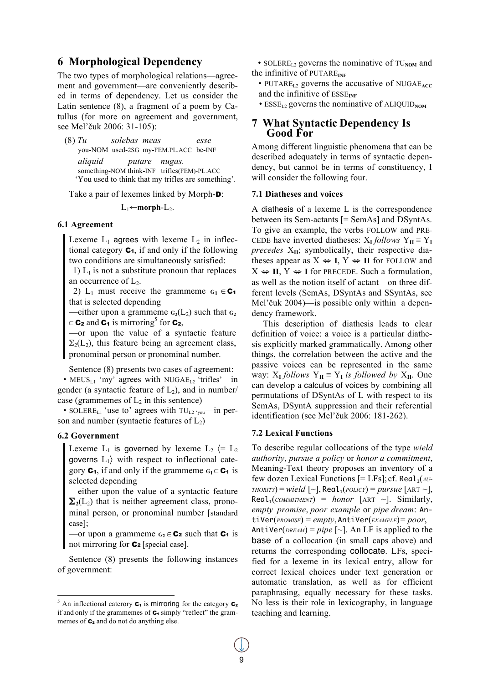# **6 Morphological Dependency**

The two types of morphological relations—agreement and government—are conveniently described in terms of dependency. Let us consider the Latin sentence (8), a fragment of a poem by Catullus (for more on agreement and government, see Mel'čuk 2006: 31-105):

(8) *Tu solebas meas esse*  you-NOM used-2SG my-FEM.PL.ACC be-INF *aliquid putare nugas.* something-NOM think-INF trifles(FEM)-PL.ACC 'You used to think that my trifles are something'.

Take a pair of lexemes linked by Morph-**D**:

 $L_1$ ←**morph**- $L_2$ .

#### **6.1 Agreement**

Lexeme  $L_1$  agrees with lexeme  $L_2$  in inflectional category  $C_1$ , if and only if the following two conditions are simultaneously satisfied:

1)  $L_1$  is not a substitute pronoun that replaces an occurrence of  $L_2$ .

2) L<sub>1</sub> must receive the grammeme  $G_1 \in \mathbb{C}_1$ that is selected depending

—either upon a grammeme  $G_2(L_2)$  such that  $G_2$  $\in \mathbf{C_2}$  and  $\mathbf{C_1}$  is mirroring<sup>5</sup> for  $\mathbf{C_2}$ ,

—or upon the value of a syntactic feature  $\Sigma_2(L_2)$ , this feature being an agreement class, pronominal person or pronominal number.

Sentence (8) presents two cases of agreement:

• MEUS<sub>L1</sub> 'my' agrees with NUGAE<sub>L2</sub> 'trifles'—in gender (a syntactic feature of  $L_2$ ), and in number/ case (grammemes of  $L_2$  in this sentence)

• SOLERE<sub>L1</sub> 'use to' agrees with  $TU_{L2}$  <sub>'you</sub>—in person and number (syntactic features of  $L_2$ )

#### **6.2 Government**

Lexeme  $L_1$  is governed by lexeme  $L_2 \leftarrow L_2$ governs  $L_1$ ) with respect to inflectional category  $C_1$ , if and only if the grammeme  $G_1 \in C_1$  is selected depending

—either upon the value of a syntactic feature  $\Sigma_2(L_2)$  that is neither agreement class, pronominal person, or pronominal number [standard case];

—or upon a grammeme  $G_2 \in \mathbb{C}_2$  such that  $\mathbb{C}_1$  is not mirroring for  $C_2$  [special case].

Sentence (8) presents the following instances of government:

- SOLERE<sub>L2</sub> governs the nominative of  $TU_{NOM}$  and the infinitive of PUTARE**INF**
	- PUTARE<sub>L2</sub> governs the accusative of NUGAE<sub>ACC</sub> and the infinitive of ESSE<sub>INF</sub>
	- ESSE<sub>L2</sub> governs the nominative of ALIQUID<sub>NOM</sub>

# **<sup>7</sup> What Syntactic Dependency Is Good For**

Among different linguistic phenomena that can be described adequately in terms of syntactic dependency, but cannot be in terms of constituency, I will consider the following four.

#### **7.1 Diatheses and voices**

A diathesis of a lexeme L is the correspondence between its Sem-actants [= SemAs] and DSyntAs. To give an example, the verbs FOLLOW and PRE-CEDE have inverted diatheses:  $X_I$  *follows*  $Y_{II} \equiv Y_I$ *precedes* X**II**; symbolically, their respective diatheses appear as  $X \Leftrightarrow I, Y \Leftrightarrow II$  for FOLLOW and  $X \Leftrightarrow II, Y \Leftrightarrow I$  for PRECEDE. Such a formulation, as well as the notion itself of actant—on three different levels (SemAs, DSyntAs and SSyntAs, see Mel'čuk 2004)—is possible only within a dependency framework.

This description of diathesis leads to clear definition of voice: a voice is a particular diathesis explicitly marked grammatically. Among other things, the correlation between the active and the passive voices can be represented in the same way:  $X_I$  *follows*  $Y_{II} \equiv Y_I$  *is followed by*  $X_{II}$ . One can develop a calculus of voices by combining all permutations of DSyntAs of L with respect to its SemAs, DSyntA suppression and their referential identification (see Mel'čuk 2006: 181-262).

#### **7.2 Lexical Functions**

To describe regular collocations of the type *wield authority*, *pursue a policy* or *honor a commitment*, Meaning-Text theory proposes an inventory of a few dozen Lexical Functions [= LFs]; cf. Real<sub>1</sub>(*AU*- $THORITY$ ) = *wield* [~], Real<sub>1</sub>( $POLICT$ ) = *pursue* [ART ~],  $Real_1$ (*COMMITMENT*) = *honor* [ART ~]. Similarly, *empty promise*, *poor example* or *pipe dream*: AntiVer(*PROMISE*) = *empty*, AntiVer(*EXAMPLE*)= *poor*, AntiVer( $DREAM$ ) =  $pipe$  [~]. An LF is applied to the base of a collocation (in small caps above) and returns the corresponding collocate. LFs, specified for a lexeme in its lexical entry, allow for correct lexical choices under text generation or automatic translation, as well as for efficient paraphrasing, equally necessary for these tasks. No less is their role in lexicography, in language teaching and learning.

 <sup>5</sup> <sup>5</sup> An inflectional caterory  $C_1$  is mirroring for the category  $C_2$ if and only if the grammemes of  $C_1$  simply "reflect" the grammemes of  $C_2$  and do not do anything else.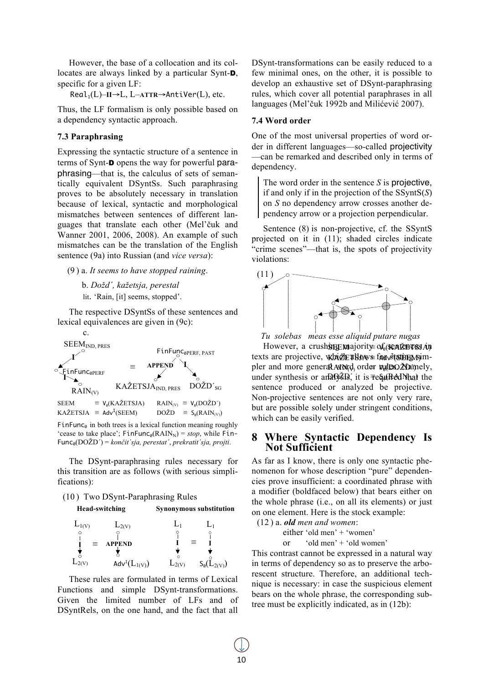However, the base of a collocation and its collocates are always linked by a particular Synt-D, specific for a given LF:

Real1(L)–**II**→L, L–**ATTR**→AntiVer(L), etc.

Thus, the LF formalism is only possible based on a dependency syntactic approach.

# **7.3 Paraphrasing**

Expressing the syntactic structure of a sentence in terms of Synt-D opens the way for powerful paraphrasing—that is, the calculus of sets of semantically equivalent DSyntSs. Such paraphrasing proves to be absolutely necessary in translation because of lexical, syntactic and morphological mismatches between sentences of different languages that translate each other (Mel'čuk and Wanner 2001, 2006, 2008). An example of such mismatches can be the translation of the English sentence (9a) into Russian (and *vice versa*):

(9 ) a. *It seems to have stopped raining*.

b. *Dožd´, kažetsja, perestal* lit. 'Rain, [it] seems, stopped'.

The respective DSyntSs of these sentences and lexical equivalences are given in (9c):



Func0(DOŽD´) = *končit´sja, perestat´*, *prekratit´sja, projti*.

The DSynt-paraphrasing rules necessary for this transition are as follows (with serious simplifications):

#### (10 ) Two DSynt-Paraphrasing Rules

**Head-switching Synonymous substitution**

| $L_{1(V)}$ | $L_{2(V)}$                    |            |                           |
|------------|-------------------------------|------------|---------------------------|
|            |                               |            |                           |
| $\equiv$   | APPEND                        |            |                           |
|            |                               |            |                           |
| $L_2(V)$   | Adv <sup>I</sup> $(L_{1(V)})$ | $L_{2(V)}$ | $S_{\emptyset}(L_{2(V)})$ |

These rules are formulated in terms of Lexical Functions and simple DSynt-transformations. Given the limited number of LFs and of DSyntRels, on the one hand, and the fact that all

DSynt-transformations can be easily reduced to a few minimal ones, on the other, it is possible to develop an exhaustive set of DSynt-paraphrasing rules, which cover all potential paraphrases in all languages (Mel'čuk 1992b and Milićević 2007).

### **7.4 Word order**

One of the most universal properties of word order in different languages—so-called projectivity —can be remarked and described only in terms of dependency.

The word order in the sentence *S* is projective, if and only if in the projection of the SSyntS(*S*) on *S* no dependency arrow crosses another dependency arrow or a projection perpendicular.

Sentence (8) is non-projective, cf. the SSyntS projected on it in (11); shaded circles indicate "crime scenes"—that is, the spots of projectivity violations:



*Tu solebas meas esse aliquid putare nugas*

However, a crushsing majority of sentences in texts are projective, which allows for stating ojmpler and more general ANN¢d, order wudexo2Mamely, under synthesis or anaOy&D, it is ≢equired Nhat the sentence produced or analyzed be projective. Non-projective sentences are not only very rare, but are possible solely under stringent conditions, which can be easily verified.

# **8 Where Syntactic Dependency Is Not Sufficient**

As far as I know, there is only one syntactic phenomenon for whose description "pure" dependencies prove insufficient: a coordinated phrase with a modifier (boldfaced below) that bears either on the whole phrase (i.e., on all its elements) or just on one element. Here is the stock example:

(12 ) a. *old men and women*:

either 'old men' + 'women'

or 'old men' + 'old women'

This contrast cannot be expressed in a natural way in terms of dependency so as to preserve the arborescent structure. Therefore, an additional technique is necessary: in case the suspicious element bears on the whole phrase, the corresponding subtree must be explicitly indicated, as in (12b):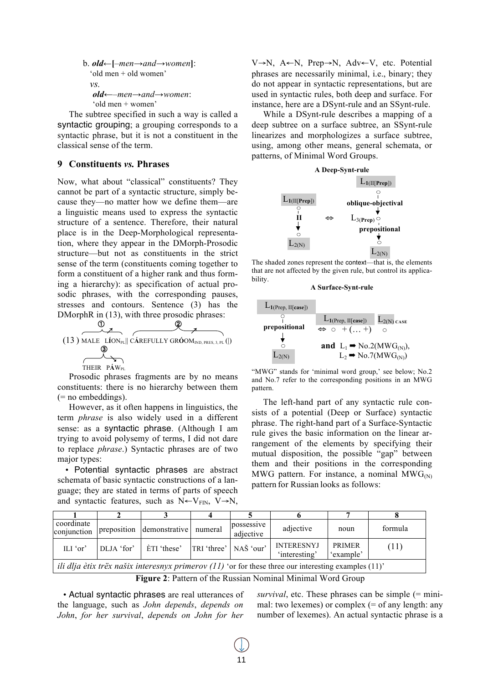```
b. old←[–men→and→women]:
 'old men + old women'
 vs.
  old←–men→and→women:
  'old men + women'
```
The subtree specified in such a way is called a syntactic grouping; a grouping corresponds to a syntactic phrase, but it is not a constituent in the classical sense of the term.

# **9 Constituents** *vs.* **Phrases**

Now, what about "classical" constituents? They cannot be part of a syntactic structure, simply because they—no matter how we define them—are a linguistic means used to express the syntactic structure of a sentence. Therefore, their natural place is in the Deep-Morphological representation, where they appear in the DMorph-Prosodic structure—but not as constituents in the strict sense of the term (constituents coming together to form a constituent of a higher rank and thus forming a hierarchy): as specification of actual prosodic phrases, with the corresponding pauses, stresses and contours. Sentence (3) has the



Prosodic phrases fragments are by no means constituents: there is no hierarchy between them (= no embeddings).

However, as it often happens in linguistics, the term *phrase* is also widely used in a different sense: as a syntactic phrase. (Although I am trying to avoid polysemy of terms, I did not dare to replace *phrase*.) Syntactic phrases are of two major types:

 • Potential syntactic phrases are abstract schemata of basic syntactic constructions of a language; they are stated in terms of parts of speech and syntactic features, such as  $N \leftarrow V_{\text{FIN}}$ ,  $V \rightarrow N$ ,

V→N, A←N, Prep→N, Adv←V, etc. Potential phrases are necessarily minimal, i.e., binary; they do not appear in syntactic representations, but are used in syntactic rules, both deep and surface. For instance, here are a DSynt-rule and an SSynt-rule.

While a DSynt-rule describes a mapping of a deep subtree on a surface subtree, an SSynt-rule linearizes and morphologizes a surface subtree, using, among other means, general schemata, or patterns, of Minimal Word Groups.



The shaded zones represent the context—that is, the elements that are not affected by the given rule, but control its applicability.

#### **A Surface-Synt-rule**



"MWG" stands for 'minimal word group,' see below; No.2 and No.7 refer to the corresponding positions in an MWG pattern.

The left-hand part of any syntactic rule consists of a potential (Deep or Surface) syntactic phrase. The right-hand part of a Surface-Syntactic rule gives the basic information on the linear arrangement of the elements by specifying their mutual disposition, the possible "gap" between them and their positions in the corresponding MWG pattern. For instance, a nominal  $MWG_{(N)}$ pattern for Russian looks as follows:

| coordinate<br>conjunction                                                                                        |            | preposition demonstrative numeral |  | possessive<br>adjective | adjective                          | noun                       | formula |
|------------------------------------------------------------------------------------------------------------------|------------|-----------------------------------|--|-------------------------|------------------------------------|----------------------------|---------|
| ILI 'or'                                                                                                         | DLJA 'for' | ETI 'these'                       |  | TRI 'three'   NAŠ 'our' | <b>INTERESNYJ</b><br>'interesting' | <b>PRIMER</b><br>'example' | (11)    |
| <i>ili dlja ètix trëx našix interesnyx primerov</i> $(11)$ 'or for these three our interesting examples $(11)$ ' |            |                                   |  |                         |                                    |                            |         |

**Figure 2**: Pattern of the Russian Nominal Minimal Word Group

• Actual syntactic phrases are real utterances of the language, such as *John depends*, *depends on John*, *for her survival*, *depends on John for her* 

*survival*, etc. These phrases can be simple (= minimal: two lexemes) or complex (= of any length: any number of lexemes). An actual syntactic phrase is a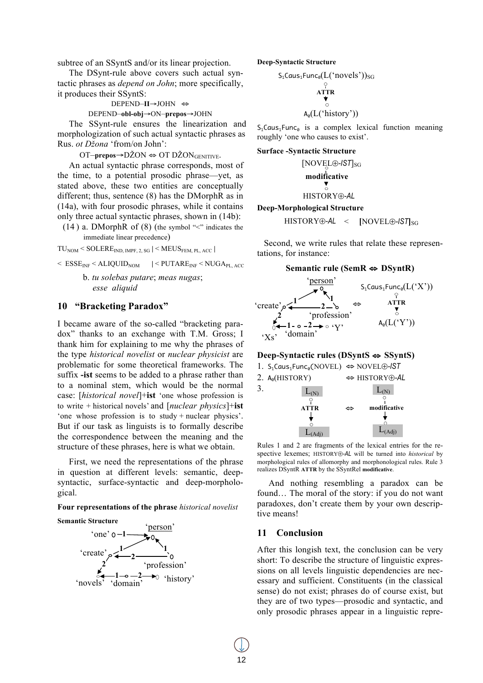subtree of an SSyntS and/or its linear projection.

The DSynt-rule above covers such actual syntactic phrases as *depend on John*; more specifically, it produces their SSyntS:

DEPEND–**II**→JOHN ⇔

DEPEND–**obl-obj**→ON–**prepos**→JOHN

The SSynt-rule ensures the linearization and morphologization of such actual syntactic phrases as Rus. *ot Džona* 'from/on John':

OT–**prepos**→DŽON ⇔ OT DŽON<sub>GENITIVE</sub>.

An actual syntactic phrase corresponds, most of the time, to a potential prosodic phrase—yet, as stated above, these two entities are conceptually different; thus, sentence (8) has the DMorphR as in (14a), with four prosodic phrases, while it contains only three actual syntactic phrases, shown in (14b):

 $(14)$  a. DMorphR of  $(8)$  (the symbol " $\le$ " indicates the immediate linear precedence)

$$
TU_{NOM} \leq SOLERE_{IND, IMPF, 2, SG} \leq MEUS_{FEM, PL, ACC} \mid
$$

$$
\langle \text{ ESSE}_{\text{INF}} \times \text{ALIQUID}_{\text{NOM}} \mid \langle \text{PUTARE}_{\text{INF}} \times \text{NUGA}_{\text{PL, ACC}}
$$

b. *tu solebas putare*; *meas nugas*; *esse aliquid*

# **10 "Bracketing Paradox"**

I became aware of the so-called "bracketing paradox" thanks to an exchange with T.M. Gross; I thank him for explaining to me why the phrases of the type *historical novelist* or *nuclear physicist* are problematic for some theoretical frameworks. The suffix **-ist** seems to be added to a phrase rather than to a nominal stem, which would be the normal case: [*historical novel*]+**ist** 'one whose profession is to write + historical novels' and [*nuclear physics*]+**ist** 'one whose profession is to study + nuclear physics'. But if our task as linguists is to formally describe the correspondence between the meaning and the structure of these phrases, here is what we obtain.

First, we need the representations of the phrase in question at different levels: semantic, deepsyntactic, surface-syntactic and deep-morphological.

#### **Four representations of the phrase** *historical novelist*

#### **Semantic Structure**



**Deep-Syntactic Structure**

$$
\substack{S_1 \text{Caus}_1 \text{Func}_0(L(\text{'novels'}))_{SG} \\ \varphi \\ \mathbf{ATTR} \\ \varphi \\ A_0(L(\text{'history'}))}
$$

 $S_1$ Caus<sub>1</sub>Func<sub>0</sub> is a complex lexical function meaning roughly 'one who causes to exist'.

#### **Surface -Syntactic Structure**

$$
\begin{array}{c}\n\text{[NOVEL}\oplus\text{-}lST]_{SG} \\
\text{modificative} \\
\bullet \\
\text{HISTORY}\oplus\text{-}AL\n\end{array}
$$

# **Deep-Morphological Structure**

HISTORY⊕*-AL* < **[**NOVEL⊕*-IST***]**SG

Second, we write rules that relate these representations, for instance:

#### **Semantic rule (SemR** ⇔ **DSyntR)**



#### **Deep-Syntactic rules (DSyntS** ⇔ **SSyntS)**



Rules 1 and 2 are fragments of the lexical entries for the respective lexemes; HISTORY⊕*-AL* will be turned into *historical* by morphological rules of allomorphy and morphonological rules. Rule 3 realizes DSyntR **ATTR** by the SSyntRel **modificative**.

And nothing resembling a paradox can be found... The moral of the story: if you do not want paradoxes, don't create them by your own descriptive means!

#### **11 Conclusion 1 1**

After this longish text, the conclusion can be very **1** short: To describe the structure of linguistic expressions on all levels linguistic dependencies are necessary and sufficient. Constituents (in the classical sense) do not exist; phrases do of course exist, but **1 1** they are of two types—prosodic and syntactic, and only prosodic phrases appear in a linguistic repre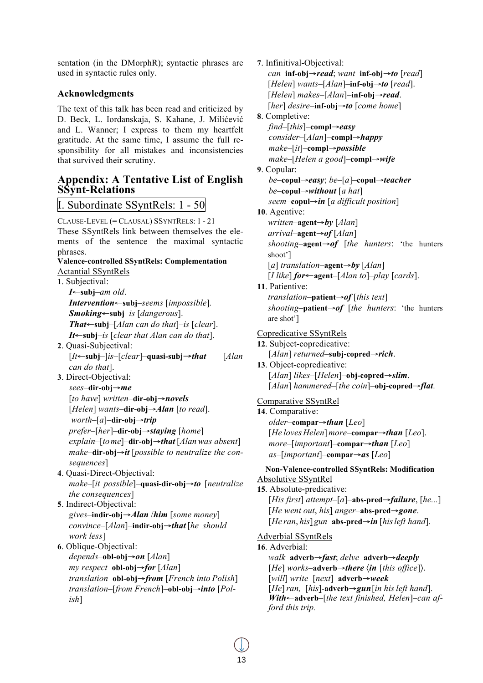sentation (in the DMorphR); syntactic phrases are used in syntactic rules only.

# **Acknowledgments**

The text of this talk has been read and criticized by D. Beck, L. Iordanskaja, S. Kahane, J. Milićević and L. Wanner; I express to them my heartfelt gratitude. At the same time, I assume the full responsibility for all mistakes and inconsistencies that survived their scrutiny.

# **Appendix: A Tentative List of English SSynt-Relations**

# I. Subordinate SSyntRels: 1 - 50

CLAUSE-LEVEL (= CLAUSAL) SSYNTRELS: 1 - 21 These SSyntRels link between themselves the elements of the sentence—the maximal syntactic phrases. **Valence-controlled SSyntRels: Complementation** Actantial SSyntRels **1**. Subjectival: *I*←**subj**–*am old*. *Intervention*←**subj**–*seems* [*impossible*]*. Smoking*←**subj**–*is* [*dangerous*]. *That*←**subj**–[*Alan can do that*]–*is* [*clear*]. *It*←**subj**–*is* [*clear that Alan can do that*]. **2**. Quasi-Subjectival: [*It*←**subj**–]*is*–[*clear*]–**quasi-subj**→*that* [*Alan can do that*]. **3**. Direct-Objectival: *sees*–**dir-obj**→*me* [*to have*] *written*–**dir-obj**→*novels* [*Helen*] *wants*–**dir-obj**→*Alan* [*to read*]. *worth*–[*a*]–**dir-obj**→*trip prefer*–[*her*]–**dir-obj**→*staying* [*home*] *explain*–[*tome*]–**dir-obj**→*that* [*Alan was absent*] *make*–**dir-obj**→*it* [*possible to neutralize the consequences*] **4**. Quasi-Direct-Objectival: *make*–[*it possible*]–**quasi-dir-obj**→*to* [*neutralize the consequences*] **5**. Indirect-Objectival:

*gives*–**indir-obj**→*Alan* /*him* [*some money*] *convince*–[*Alan*]–**indir-obj**→*that* [*he should work less*]

**6**. Oblique-Objectival: *depends*–**obl-obj**→*on* [*Alan*] *my respect*–**obl-obj**→*for* [*Alan*] *translation*–**obl-obj**→*from* [*French into Polish*] *translation*–[*from French*]–**obl-obj**→*into* [*Polish*]

**7**. Infinitival-Objectival: *can*–**inf-obj**→*read*; *want*–**inf-obj**→*to* [*read*] [*Helen*] *wants*–[*Alan*]–**inf-obj**→*to* [*read*]. [*Helen*] *makes*–[*Alan*]–**inf-obj**→*read*. [*her*] *desire*–**inf-obj**→*to* [*come home*] **8**. Completive: *find*–[*this*]–**compl**→*easy consider–*[*Alan*]–**compl**→*happy make–*[*it*]–**compl**→*possible make*–[*Helen a good*]–**compl**→*wife* **9**. Copular: *be*–**copul**→*easy*; *be*–[*a*]–**copul**→*teacher be*–**copul**→*without* [*a hat*] *seem*–**copul**→*in* [*a difficult position*] **10**. Agentive: *written*–**agent**→*by* [*Alan*] *arrival*–**agent**→*of* [*Alan*] *shooting*–**agent**→*of* [*the hunters*: 'the hunters shoot'] [*a*] *translation*–**agent**→*by* [*Alan*] [*I like*] *for*←**agent**–[*Alan to*]–*play* [*cards*]. **11**. Patientive: *translation*–**patient**→*of* [*this text*] *shooting*–**patient**→*of* [*the hunters*: 'the hunters are shot'] Copredicative SSyntRels **12**. Subject-copredicative: [*Alan*] *returned*–**subj-copred**→*rich*. **13**. Object-copredicative: [*Alan*] *likes*–[*Helen*]–**obj-copred**→*slim*. [*Alan*] *hammered*–[*the coin*]–**obj-copred**→*flat*. Comparative SSyntRel **14**. Comparative: *older*–**compar**→*than* [*Leo*] [*He loves Helen*] *more*–**compar**→*than* [*Leo*]. *more*–[*important*]–**compar**→*than* [*Leo*] *as*–[*important*]–**compar**→*as* [*Leo*] **Non-Valence-controlled SSyntRels: Modification** Absolutive SSyntRel **15**. Absolute-predicative: [*His first*] *attempt*–[*a*]–**abs-pred**→*failure*, [*he...*] [*He went out*, *his*] *anger*–**abs-pred**→*gone*. [*He ran*, *his*]*gun*–**abs-pred**→*in* [*hisleft hand*]. Adverbial SSyntRels **16**. Adverbial: *walk*–**adverb**→*fast*; *delve*–**adverb**→*deeply* [*He*] *works*–**adverb**→*there* 〈*in* [*this office*]〉. [*will*] *write*–[*next*]–**adverb**→*week* [*He*]*ran,*–[*his*]-**adverb**→*gun*[*in hisleft hand*]. *With*←**adverb**–[*the text finished, Helen*]–*can afford this trip.*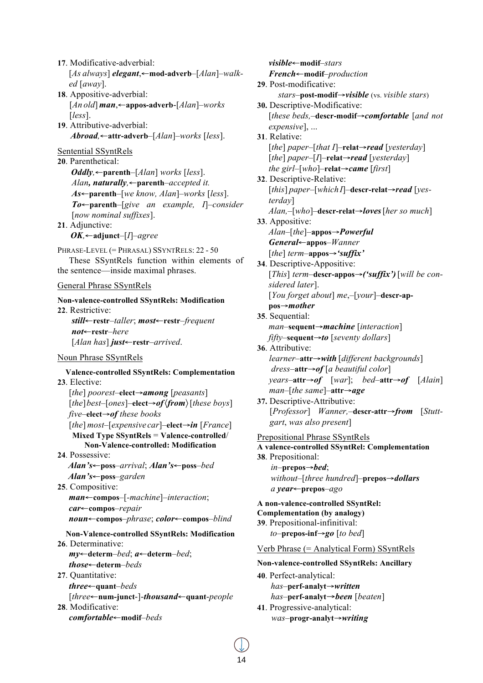**17**. Modificative-adverbial: [*As always*] *elegant*,←**mod-adverb**–[*Alan*]–*walked* [*away*].

- **18**. Appositive-adverbial: [*An old*] *man*,←**appos-adverb**-[*Alan*]–*works*  [*less*].
- **19**. Attributive-adverbial: *Abroad,*←**attr-adverb**–[*Alan*]–*works* [*less*].

# Sentential SSyntRels

**20**. Parenthetical: *Oddly,*←**parenth**–[*Alan*] *works* [*less*]. *Alan, naturally,*←**parenth**–*accepted it. As*←**parenth**–[*we know, Alan*]–*works* [*less*]. *To*←**parenth**–[*give an example, I*]–*consider*  [*now nominal suffixes*]. **21**. Adjunctive:

*OK,*←**adjunct**–[*I*]–*agree*

PHRASE-LEVEL (= PHRASAL) SSYNTRELS: 22 - 50

These SSyntRels function within elements of the sentence—inside maximal phrases.

# General Phrase SSyntRels

**Non-valence-controlled SSyntRels: Modification 22**. Restrictive: *still*←**restr**–*taller*; *most*←**restr**–*frequent*

*not*←**restr**–*here* [*Alan has*] *just*←**restr**–*arrived*.

# Noun Phrase SSyntRels

**Valence-controlled SSyntRels: Complementation 23**. Elective: [*the*] *poorest*–**elect**→*among* [*peasants*] [*the*]*best*–[*ones*]–**elect**→*of*〈*from*〉[*these boys*] *five*–**elect**→*of these books* [*the*] *most*–[*expensive car*]–**elect**→*in* [*France*] **Mixed Type SSyntRels** = **Valence-controlled**/ **Non-Valence-controlled: Modification 24**. Possessive: *Alan's*←**poss**–*arrival*; *Alan's*←**poss**–*bed Alan's*←**poss**–*garden* **25**. Compositive: *man*←**compos**–[*-machine*]–*interaction*; *car*←**compos**–*repair noun*←**compos**–*phrase*; *color*←**compos**–*blind* **Non-Valence-controlled SSyntRels: Modification 26**. Determinative:

*my*←**determ**–*bed*; *a*←**determ**–*bed*; *those*←**determ**–*beds*

**27**. Quantitative: *three*←**quant**–*beds* [*three*←**num-junct**-]-*thousand*←**quant**-*people* **28**. Modificative: *comfortable*←**modif**–*beds*

*visible*←**modif**–*stars French*←**modif**–*production* **29**. Post-modificative: *stars*–**post-modif**→*visible* (vs. *visible stars*) **30.** Descriptive-Modificative: [*these beds,*–**descr-modif**→*comfortable* [*and not expensive*], ... **31**. Relative: [*the*] *paper*–[*that I*]–**relat**→*read* [*yesterday*] [*the*] *paper*–[*I*]–**relat**→*read* [*yesterday*] *the girl*–[*who*]–**relat**→*came* [*first*] **32**. Descriptive-Relative: [*this*] *paper*–[*whichI*]–**descr-relat**→*read* [*yesterday*] *Alan,*–[*who*]–**descr-relat**→*loves*[*her so much*] **33**. Appositive: *Alan*–[*the*]–**appos**→*Powerful General*←**appos**–*Wanner* [*the*] *term*–**appos**→*'suffix'* **34**. Descriptive-Appositive: [*This*] *term*–**descr-appos**→*('suffix')* [*will be considered later*]. [*You forget about*] *me*,–[*your*]–**descr-appos**→*mother* **35**. Sequential: *man*–**sequent**→*machine* [*interaction*] *fifty*–**sequent**→*to* [*seventy dollars*] **36**. Attributive: *learner–***attr**→*with* [*different backgrounds*] *dress*–**attr**→*of* [*a beautiful color*] *years*–**attr**→*of* [*war*]; *bed*–**attr**→*of* [*Alain*] *man*–[*the same*]–**attr**→*age* **37.** Descriptive-Attributive: [*Professor*] *Wanner,*–**descr-attr**→*from* [*Stuttgart*, *was also present*] Prepositional Phrase SSyntRels **A valence-controlled SSyntRel: Complementation 38**. Prepositional: *in*–**prepos**→*bed*; *without*–[*three hundred*]–**prepos**→*dollars a year*←**prepos**–*ago* **A non-valence-controlled SSyntRel: Complementation (by analogy) 39**. Prepositional-infinitival: *to*–**prepos-inf**→*go* [*to bed*] Verb Phrase (= Analytical Form) SSyntRels **Non-valence-controlled SSyntRels: Ancillary 40**. Perfect-analytical: *has*–**perf-analyt**→*written has*–**perf-analyt**→*been* [*beaten*] **41**. Progressive-analytical: *was*–**progr-analyt**→*writing*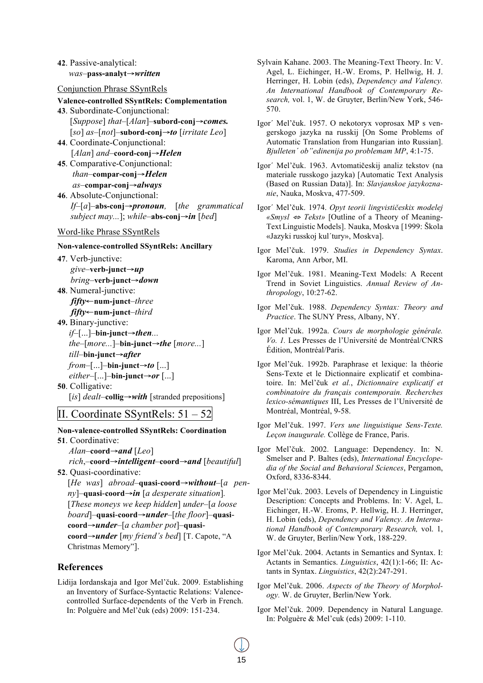## **42**. Passive-analytical: *was*–**pass-analyt**→*written*

Conjunction Phrase SSyntRels

# **Valence-controlled SSyntRels: Complementation**

- **43**. Subordinate-Conjunctional: [*Suppose*] *that*–[*Alan*]–**subord-conj**→*comes.* [*so*] *as*–[*not*]–**subord-conj**→*to* [*irritate Leo*] **44**. Coordinate-Conjunctional:
- [*Alan*] *and*–**coord-conj**→*Helen*
- **45**. Comparative-Conjunctional: *than*–**compar-conj**→*Helen as*–**compar-conj**→*always*
- **46**. Absolute-Conjunctional: *If*–[*a*]–**abs-conj**→*pronoun,* [*the grammatical subject may...*]; *while*–**abs-conj**→*in* [*bed*]

#### Word-like Phrase SSyntRels

#### **Non-valence-controlled SSyntRels: Ancillary**

**47**. Verb-junctive: *give*–**verb-junct**→*up bring*–**verb-junct**→*down*

- **48**. Numeral-junctive: *fifty*←**num-junct**–*three*
	- *fifty*←**num-junct**–*third*
- **49.** Binary-junctive:
	- *if*–[...]–**bin-junct**→*then... the*–[*more...*]–**bin-junct**→*the* [*more...*] *till*–**bin-junct**→*after from*–[...]–**bin-junct**→*to* [...] *either*–[...]–**bin-junct**→*or* [...]
- **50**. Colligative: [*is*] *dealt*–**collig**→*with* [stranded prepositions]

# II. Coordinate SSyntRels: 51 – 52

# **Non-valence-controlled SSyntRels: Coordination 51**. Coordinative:

*Alan*–**coord**→*and* [*Leo*] *rich*,–**coord**→*intelligent*–**coord**→*and* [*beautiful*] **52**. Quasi-coordinative:

[*He was*] *abroad*–**quasi**-**coord**→*without–*[*a penny*]–**quasi**-**coord**→*in* [*a desperate situation*]*.* [*These moneys we keep hidden*] *under–*[*a loose board*]–**quasi**-**coord**→*under*–[*the floor*]–**quasicoord**→*under*–[*a chamber pot*]–**quasicoord**→*under* [*my friend's bed*] [T. Capote, "A Christmas Memory"].

# **References**

Lidija Iordanskaja and Igor Mel'čuk. 2009. Establishing an Inventory of Surface-Syntactic Relations: Valencecontrolled Surface-dependents of the Verb in French. In: Polguère and Mel'čuk (eds) 2009: 151-234.

- Sylvain Kahane. 2003. The Meaning-Text Theory. In: V. Agel, L. Eichinger, H.-W. Eroms, P. Hellwig, H. J. Herringer, H. Lobin (eds), *Dependency and Valency. An International Handbook of Contemporary Research,* vol. 1, W. de Gruyter, Berlin/New York, 546- 570.
- Igor´ Mel'čuk. 1957. O nekotoryx voprosax MP s vengerskogo jazyka na russkij [On Some Problems of Automatic Translation from Hungarian into Russian]. *Bjulleten´ ob"edinenija po problemam MP*, 4:1-75.
- Igor´ Mel'čuk. 1963. Avtomatičeskij analiz tekstov (na materiale russkogo jazyka) [Automatic Text Analysis (Based on Russian Data)]. In: *Slavjanskoe jazykoznanie*, Nauka, Moskva, 477-509.
- Igor´ Mel'čuk. 1974. *Opyt teorii lingvističeskix modelej «Smysl* <sup>⇔</sup> *Tekst»* [Outline of a Theory of Meaning-Text Linguistic Models]. Nauka, Moskva [1999: Škola «Jazyki russkoj kul´tury», Moskva].
- Igor Mel'čuk. 1979. *Studies in Dependency Syntax*. Karoma, Ann Arbor, MI.
- Igor Mel'čuk. 1981. Meaning-Text Models: A Recent Trend in Soviet Linguistics. *Annual Review of Anthropology*, 10:27-62.
- Igor Mel'čuk. 1988. *Dependency Syntax: Theory and Practice*. The SUNY Press, Albany, NY.
- Igor Mel'čuk. 1992a. *Cours de morphologie générale. Vo. 1.* Les Presses de l'Université de Montréal/CNRS Édition, Montréal/Paris.
- Igor Mel'čuk. 1992b. Paraphrase et lexique: la théorie Sens-Texte et le Dictionnaire explicatif et combinatoire. In: Mel'čuk *et al.*, *Dictionnaire explicatif et combinatoire du français contemporain. Recherches lexico-sémantiques* III, Les Presses de l'Université de Montréal, Montréal, 9-58.
- Igor Mel'čuk. 1997. *Vers une linguistique Sens-Texte. Leçon inaugurale.* Collège de France, Paris.
- Igor Mel'čuk. 2002. Language: Dependency. In: N. Smelser and P. Baltes (eds), *International Encyclopedia of the Social and Behavioral Sciences*, Pergamon, Oxford, 8336-8344.
- Igor Mel'čuk. 2003. Levels of Dependency in Linguistic Description: Concepts and Problems. In: V. Agel, L. Eichinger, H.-W. Eroms, P. Hellwig, H. J. Herringer, H. Lobin (eds), *Dependency and Valency. An International Handbook of Contemporary Research,* vol. 1, W. de Gruyter, Berlin/New York, 188-229.
- Igor Mel'čuk. 2004. Actants in Semantics and Syntax. I: Actants in Semantics. *Linguistics*, 42(1):1-66; II: Actants in Syntax. *Linguistics*, 42(2):247-291.
- Igor Mel'čuk. 2006. *Aspects of the Theory of Morphology.* W. de Gruyter, Berlin/New York.
- Igor Mel'čuk. 2009. Dependency in Natural Language. In: Polguère & Mel'cuk (eds) 2009: 1-110.